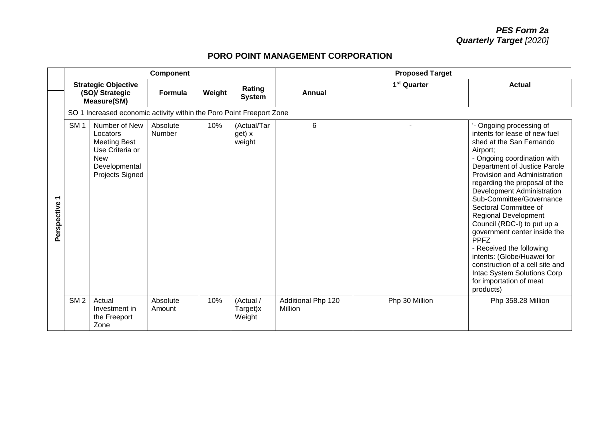## **PORO POINT MANAGEMENT CORPORATION**

|                                         |                 |                                                                                                                       | Component          |        |                                 | <b>Proposed Target</b>        |                         |                                                                                                                                                                                                                                                                                                                                                                                                                                                                                                                                                                                                       |  |  |
|-----------------------------------------|-----------------|-----------------------------------------------------------------------------------------------------------------------|--------------------|--------|---------------------------------|-------------------------------|-------------------------|-------------------------------------------------------------------------------------------------------------------------------------------------------------------------------------------------------------------------------------------------------------------------------------------------------------------------------------------------------------------------------------------------------------------------------------------------------------------------------------------------------------------------------------------------------------------------------------------------------|--|--|
|                                         |                 | <b>Strategic Objective</b><br>(SO)/ Strategic<br>Measure(SM)                                                          | Formula            | Weight | Rating<br><b>System</b>         | <b>Annual</b>                 | 1 <sup>st</sup> Quarter | <b>Actual</b>                                                                                                                                                                                                                                                                                                                                                                                                                                                                                                                                                                                         |  |  |
|                                         |                 | SO 1 Increased economic activity within the Poro Point Freeport Zone                                                  |                    |        |                                 |                               |                         |                                                                                                                                                                                                                                                                                                                                                                                                                                                                                                                                                                                                       |  |  |
| $\overline{\phantom{0}}$<br>Perspective | SM <sub>1</sub> | Number of New<br>Locators<br><b>Meeting Best</b><br>Use Criteria or<br><b>New</b><br>Developmental<br>Projects Signed | Absolute<br>Number | 10%    | (Actual/Tar<br>get) x<br>weight | 6                             |                         | '- Ongoing processing of<br>intents for lease of new fuel<br>shed at the San Fernando<br>Airport;<br>- Ongoing coordination with<br>Department of Justice Parole<br>Provision and Administration<br>regarding the proposal of the<br>Development Administration<br>Sub-Committee/Governance<br>Sectoral Committee of<br><b>Regional Development</b><br>Council (RDC-I) to put up a<br>government center inside the<br><b>PPFZ</b><br>- Received the following<br>intents: (Globe/Huawei for<br>construction of a cell site and<br>Intac System Solutions Corp<br>for importation of meat<br>products) |  |  |
|                                         | SM <sub>2</sub> | Actual<br>Investment in<br>the Freeport<br>Zone                                                                       | Absolute<br>Amount | 10%    | (Actual /<br>Target)x<br>Weight | Additional Php 120<br>Million | Php 30 Million          | Php 358.28 Million                                                                                                                                                                                                                                                                                                                                                                                                                                                                                                                                                                                    |  |  |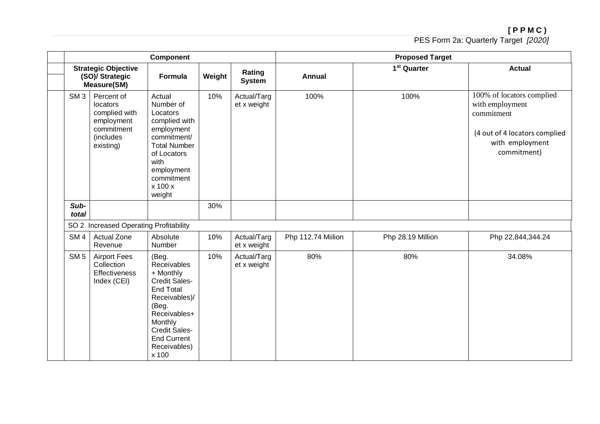|                 |                                                                                               | <b>Component</b>                                                                                                                                                                                          |        |                            |                    | <b>Proposed Target</b>  |                                                                                                                               |
|-----------------|-----------------------------------------------------------------------------------------------|-----------------------------------------------------------------------------------------------------------------------------------------------------------------------------------------------------------|--------|----------------------------|--------------------|-------------------------|-------------------------------------------------------------------------------------------------------------------------------|
|                 | <b>Strategic Objective</b><br>(SO)/ Strategic<br><b>Measure(SM)</b>                           | <b>Formula</b>                                                                                                                                                                                            | Weight | Rating<br><b>System</b>    | <b>Annual</b>      | 1 <sup>st</sup> Quarter | <b>Actual</b>                                                                                                                 |
| SM <sub>3</sub> | Percent of<br>locators<br>complied with<br>employment<br>commitment<br>(includes<br>existing) | Actual<br>Number of<br>Locators<br>complied with<br>employment<br>commitment/<br><b>Total Number</b><br>of Locators<br>with<br>employment<br>commitment<br>x 100 x<br>weight                              | 10%    | Actual/Targ<br>et x weight | 100%               | 100%                    | 100% of locators complied<br>with employment<br>commitment<br>(4 out of 4 locators complied<br>with employment<br>commitment) |
| Sub-<br>total   |                                                                                               |                                                                                                                                                                                                           | 30%    |                            |                    |                         |                                                                                                                               |
|                 | SO 2 Increased Operating Profitability                                                        |                                                                                                                                                                                                           |        |                            |                    |                         |                                                                                                                               |
| SM <sub>4</sub> | <b>Actual Zone</b><br>Revenue                                                                 | Absolute<br>Number                                                                                                                                                                                        | 10%    | Actual/Targ<br>et x weight | Php 112.74 Miilion | Php 28.19 Million       | Php 22,844,344.24                                                                                                             |
| SM <sub>5</sub> | <b>Airport Fees</b><br>Collection<br><b>Effectiveness</b><br>Index (CEI)                      | (Beg.<br>Receivables<br>+ Monthly<br><b>Credit Sales-</b><br><b>End Total</b><br>Receivables)/<br>(Beg.<br>Receivables+<br>Monthly<br><b>Credit Sales-</b><br><b>End Current</b><br>Receivables)<br>x 100 | 10%    | Actual/Targ<br>et x weight | 80%                | 80%                     | 34.08%                                                                                                                        |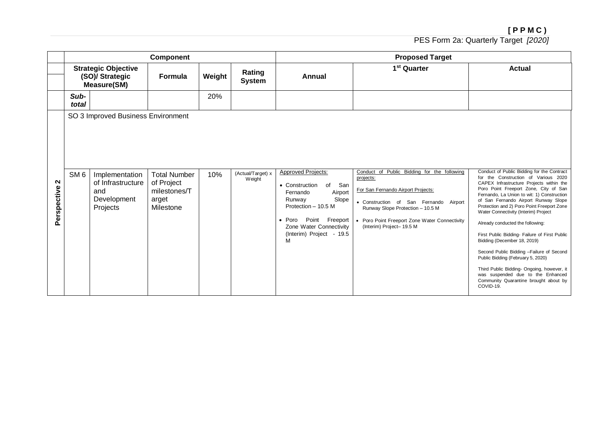|                  |                 |                                                                                                             | Component                                                               |        |                             | <b>Proposed Target</b>                                                                                                                                                                                                       |                                                                                                                                                                                                                                                            |                                                                                                                                                                                                                                                                                                                                                                                                                                                                                                                                                                                                                                                                                                   |  |  |
|------------------|-----------------|-------------------------------------------------------------------------------------------------------------|-------------------------------------------------------------------------|--------|-----------------------------|------------------------------------------------------------------------------------------------------------------------------------------------------------------------------------------------------------------------------|------------------------------------------------------------------------------------------------------------------------------------------------------------------------------------------------------------------------------------------------------------|---------------------------------------------------------------------------------------------------------------------------------------------------------------------------------------------------------------------------------------------------------------------------------------------------------------------------------------------------------------------------------------------------------------------------------------------------------------------------------------------------------------------------------------------------------------------------------------------------------------------------------------------------------------------------------------------------|--|--|
|                  |                 | <b>Strategic Objective</b><br>(SO)/ Strategic<br><b>Measure(SM)</b>                                         | <b>Formula</b>                                                          | Weight | Rating<br><b>System</b>     | <b>Annual</b>                                                                                                                                                                                                                | 1 <sup>st</sup> Quarter                                                                                                                                                                                                                                    | <b>Actual</b>                                                                                                                                                                                                                                                                                                                                                                                                                                                                                                                                                                                                                                                                                     |  |  |
|                  | Sub-<br>total   |                                                                                                             |                                                                         | 20%    |                             |                                                                                                                                                                                                                              |                                                                                                                                                                                                                                                            |                                                                                                                                                                                                                                                                                                                                                                                                                                                                                                                                                                                                                                                                                                   |  |  |
| N<br>Perspective | SM <sub>6</sub> | SO 3 Improved Business Environment<br>Implementation<br>of Infrastructure<br>and<br>Development<br>Projects | <b>Total Number</b><br>of Project<br>milestones/T<br>arget<br>Milestone | 10%    | (Actual/Target) x<br>Weight | <b>Approved Projects:</b><br>San<br>• Construction<br>of<br>Airport<br>Fernando<br>Slope<br>Runway<br>Protection - 10.5 M<br>Point<br>Freeport<br>$\bullet$ Poro<br>Zone Water Connectivity<br>(Interim) Project - 19.5<br>M | Conduct of Public Bidding for the following<br>projects:<br>For San Fernando Airport Projects:<br>• Construction of San Fernando Airport<br>Runway Slope Protection - 10.5 M<br>• Poro Point Freeport Zone Water Connectivity<br>(Interim) Project- 19.5 M | Conduct of Public Bidding for the Contract<br>for the Construction of Various 2020<br>CAPEX Infrastructure Projects within the<br>Poro Point Freeport Zone, City of San<br>Fernando, La Union to wit: 1) Construction<br>of San Fernando Airport Runway Slope<br>Protection and 2) Poro Point Freeport Zone<br>Water Connectivity (Interim) Project<br>Already conducted the following:<br>First Public Bidding- Failure of First Public<br>Bidding (December 18, 2019)<br>Second Public Bidding -Failure of Second<br>Public Bidding (February 5, 2020)<br>Third Public Bidding- Ongoing, however, it<br>was suspended due to the Enhanced<br>Community Quarantine brought about by<br>COVID-19. |  |  |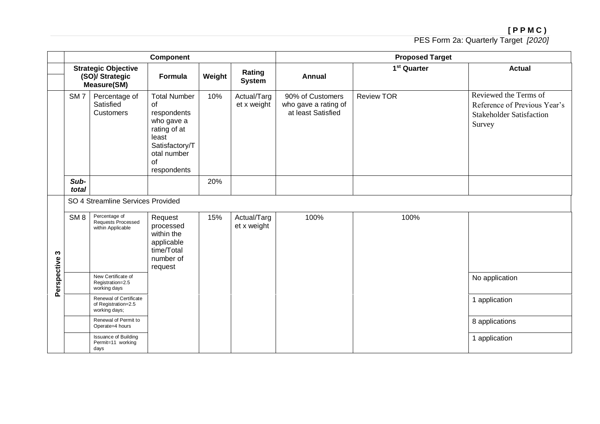|             |                 |                                                                     | <b>Component</b>                                                                                                                      |        |                            | <b>Proposed Target</b>                                         |                         |                                                                                                    |  |  |
|-------------|-----------------|---------------------------------------------------------------------|---------------------------------------------------------------------------------------------------------------------------------------|--------|----------------------------|----------------------------------------------------------------|-------------------------|----------------------------------------------------------------------------------------------------|--|--|
|             |                 | <b>Strategic Objective</b><br>(SO)/ Strategic<br><b>Measure(SM)</b> | Formula                                                                                                                               | Weight | Rating<br><b>System</b>    | <b>Annual</b>                                                  | 1 <sup>st</sup> Quarter | <b>Actual</b>                                                                                      |  |  |
|             | SM <sub>7</sub> | Percentage of<br>Satisfied<br><b>Customers</b>                      | <b>Total Number</b><br>of<br>respondents<br>who gave a<br>rating of at<br>least<br>Satisfactory/T<br>otal number<br>of<br>respondents | 10%    | Actual/Targ<br>et x weight | 90% of Customers<br>who gave a rating of<br>at least Satisfied | <b>Review TOR</b>       | Reviewed the Terms of<br>Reference of Previous Year's<br><b>Stakeholder Satisfaction</b><br>Survey |  |  |
|             | Sub-<br>total   |                                                                     |                                                                                                                                       | 20%    |                            |                                                                |                         |                                                                                                    |  |  |
|             |                 | SO 4 Streamline Services Provided                                   |                                                                                                                                       |        |                            |                                                                |                         |                                                                                                    |  |  |
| S           | SM <sub>8</sub> | Percentage of<br>Requests Processed<br>within Applicable            | Request<br>processed<br>within the<br>applicable<br>time/Total<br>number of<br>request                                                | 15%    | Actual/Targ<br>et x weight | 100%                                                           | 100%                    |                                                                                                    |  |  |
| Perspective |                 | New Certificate of<br>Registration=2.5<br>working days              |                                                                                                                                       |        |                            |                                                                |                         | No application                                                                                     |  |  |
|             |                 | Renewal of Certificate<br>of Registration=2.5<br>working days;      |                                                                                                                                       |        |                            |                                                                |                         | 1 application                                                                                      |  |  |
|             |                 | Renewal of Permit to<br>Operate=4 hours                             |                                                                                                                                       |        |                            |                                                                |                         | 8 applications                                                                                     |  |  |
|             |                 | <b>Issuance of Building</b><br>Permit=11 working<br>days            |                                                                                                                                       |        |                            |                                                                |                         | 1 application                                                                                      |  |  |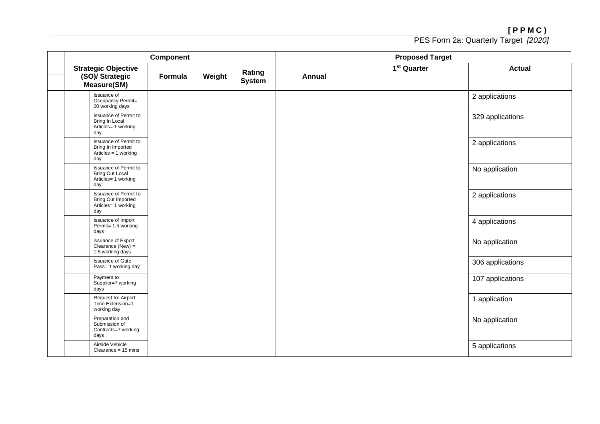|                                                                                  | Component |        |                         |               | <b>Proposed Target</b>  |                  |
|----------------------------------------------------------------------------------|-----------|--------|-------------------------|---------------|-------------------------|------------------|
| <b>Strategic Objective</b><br>(SO)/ Strategic<br><b>Measure(SM)</b>              | Formula   | Weight | Rating<br><b>System</b> | <b>Annual</b> | 1 <sup>st</sup> Quarter | <b>Actual</b>    |
| Issuance of<br>Occupancy Permit=<br>20 working days                              |           |        |                         |               |                         | 2 applications   |
| Issuance of Permit to<br>Bring In Local<br>Articles= 1 working<br>day            |           |        |                         |               |                         | 329 applications |
| Issuance of Permit to<br>Bring In Imported<br>Articles = $1$ working<br>day      |           |        |                         |               |                         | 2 applications   |
| Issuance of Permit to<br><b>Bring Out Local</b><br>Articles= 1 working<br>day    |           |        |                         |               |                         | No application   |
| Issuance of Permit to<br><b>Bring Out Imported</b><br>Articles= 1 working<br>day |           |        |                         |               |                         | 2 applications   |
| Issuance of Import<br>Permit= 1.5 working<br>days                                |           |        |                         |               |                         | 4 applications   |
| issuance of Export<br>Clearance (New) $=$<br>1.5 working days                    |           |        |                         |               |                         | No application   |
| <b>Issuance of Gate</b><br>Pass= 1 working day                                   |           |        |                         |               |                         | 306 applications |
| Payment to<br>Supplier=7 working<br>days                                         |           |        |                         |               |                         | 107 applications |
| Request for Airport<br>Time Extension=1<br>working day                           |           |        |                         |               |                         | 1 application    |
| Preparation and<br>Submission of<br>Contracts=7 working<br>days                  |           |        |                         |               |                         | No application   |
| Airside Vehicle<br>Clearance = $15$ mins                                         |           |        |                         |               |                         | 5 applications   |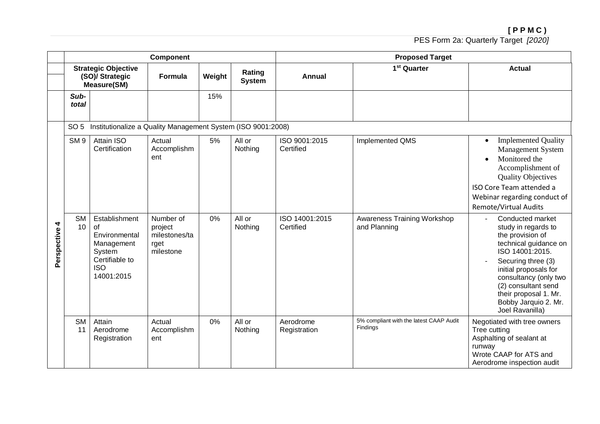|                  |                 |                                                                                                            | Component                                                  |        |                         | <b>Proposed Target</b>      |                                                     |                                                                                                                                                                                                                                                                            |  |  |
|------------------|-----------------|------------------------------------------------------------------------------------------------------------|------------------------------------------------------------|--------|-------------------------|-----------------------------|-----------------------------------------------------|----------------------------------------------------------------------------------------------------------------------------------------------------------------------------------------------------------------------------------------------------------------------------|--|--|
|                  |                 | <b>Strategic Objective</b><br>(SO)/ Strategic<br><b>Measure(SM)</b>                                        | Formula                                                    | Weight | Rating<br><b>System</b> | <b>Annual</b>               | 1 <sup>st</sup> Quarter                             | <b>Actual</b>                                                                                                                                                                                                                                                              |  |  |
|                  | Sub-<br>total   |                                                                                                            |                                                            | 15%    |                         |                             |                                                     |                                                                                                                                                                                                                                                                            |  |  |
|                  | SO <sub>5</sub> | Institutionalize a Quality Management System (ISO 9001:2008)                                               |                                                            |        |                         |                             |                                                     |                                                                                                                                                                                                                                                                            |  |  |
|                  | SM <sub>9</sub> | Attain ISO<br>Certification                                                                                | Actual<br>Accomplishm<br>ent                               | 5%     | All or<br>Nothing       | ISO 9001:2015<br>Certified  | Implemented QMS                                     | <b>Implemented Quality</b><br>$\bullet$<br><b>Management System</b><br>Monitored the<br>$\bullet$<br>Accomplishment of<br><b>Quality Objectives</b><br>ISO Core Team attended a<br>Webinar regarding conduct of<br><b>Remote/Virtual Audits</b>                            |  |  |
| 4<br>Perspective | <b>SM</b><br>10 | Establishment<br>οf<br>Environmental<br>Management<br>System<br>Certifiable to<br><b>ISO</b><br>14001:2015 | Number of<br>project<br>milestones/ta<br>rget<br>milestone | 0%     | All or<br>Nothing       | ISO 14001:2015<br>Certified | Awareness Training Workshop<br>and Planning         | Conducted market<br>study in regards to<br>the provision of<br>technical guidance on<br>ISO 14001:2015.<br>Securing three (3)<br>initial proposals for<br>consultancy (only two<br>(2) consultant send<br>their proposal 1. Mr.<br>Bobby Jarquio 2. Mr.<br>Joel Ravanilla) |  |  |
|                  | <b>SM</b><br>11 | Attain<br>Aerodrome<br>Registration                                                                        | Actual<br>Accomplishm<br>ent                               | 0%     | All or<br>Nothing       | Aerodrome<br>Registration   | 5% compliant with the latest CAAP Audit<br>Findings | Negotiated with tree owners<br>Tree cutting<br>Asphalting of sealant at<br>runway<br>Wrote CAAP for ATS and<br>Aerodrome inspection audit                                                                                                                                  |  |  |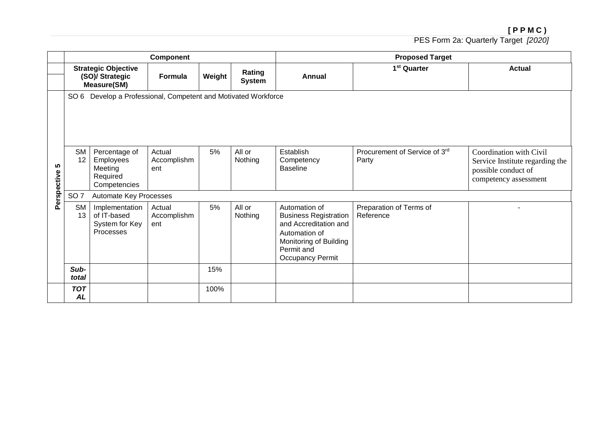|                  |                         |                                                                                                                                                  | <b>Component</b>             |        |                         |                                                                                                                                                            | <b>Proposed Target</b>                 |                                                                                                            |  |  |  |
|------------------|-------------------------|--------------------------------------------------------------------------------------------------------------------------------------------------|------------------------------|--------|-------------------------|------------------------------------------------------------------------------------------------------------------------------------------------------------|----------------------------------------|------------------------------------------------------------------------------------------------------------|--|--|--|
|                  |                         | <b>Strategic Objective</b><br>(SO)/ Strategic<br>Formula<br><b>Measure(SM)</b><br>SO 6 Develop a Professional, Competent and Motivated Workforce |                              | Weight | Rating<br><b>System</b> | <b>Annual</b>                                                                                                                                              | 1 <sup>st</sup> Quarter                | <b>Actual</b>                                                                                              |  |  |  |
|                  |                         |                                                                                                                                                  |                              |        |                         |                                                                                                                                                            |                                        |                                                                                                            |  |  |  |
| 5<br>Perspective | <b>SM</b><br>12         | Percentage of<br>Employees<br>Meeting<br>Required<br>Competencies                                                                                | Actual<br>Accomplishm<br>ent | 5%     | All or<br>Nothing       | Establish<br>Competency<br><b>Baseline</b>                                                                                                                 | Procurement of Service of 3rd<br>Party | Coordination with Civil<br>Service Institute regarding the<br>possible conduct of<br>competency assessment |  |  |  |
|                  | SO <sub>7</sub>         | Automate Key Processes                                                                                                                           |                              |        |                         |                                                                                                                                                            |                                        |                                                                                                            |  |  |  |
|                  | <b>SM</b><br>13         | Implementation<br>of IT-based<br>System for Key<br>Processes                                                                                     | Actual<br>Accomplishm<br>ent | 5%     | All or<br>Nothing       | Automation of<br><b>Business Registration</b><br>and Accreditation and<br>Automation of<br>Monitoring of Building<br>Permit and<br><b>Occupancy Permit</b> | Preparation of Terms of<br>Reference   |                                                                                                            |  |  |  |
|                  | Sub-<br>total           |                                                                                                                                                  |                              | 15%    |                         |                                                                                                                                                            |                                        |                                                                                                            |  |  |  |
|                  | <b>TOT</b><br><b>AL</b> |                                                                                                                                                  |                              | 100%   |                         |                                                                                                                                                            |                                        |                                                                                                            |  |  |  |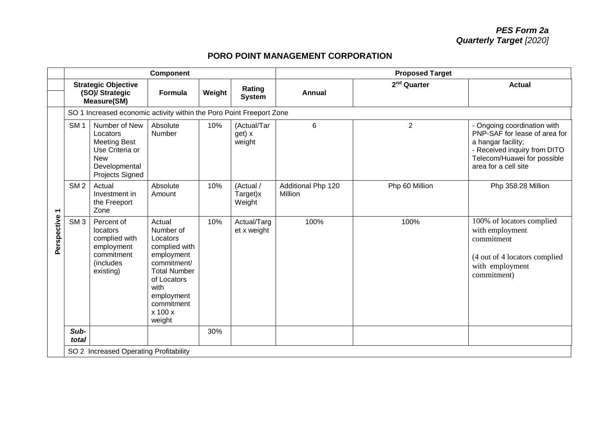## **PORO POINT MANAGEMENT CORPORATION**

|                          |                 |                                                                                                                              | Component                                                                                                                                                                        |        |                                 | <b>Proposed Target</b>        |                         |                                                                                                                                                                           |  |
|--------------------------|-----------------|------------------------------------------------------------------------------------------------------------------------------|----------------------------------------------------------------------------------------------------------------------------------------------------------------------------------|--------|---------------------------------|-------------------------------|-------------------------|---------------------------------------------------------------------------------------------------------------------------------------------------------------------------|--|
|                          |                 | <b>Strategic Objective</b><br>(SO)/ Strategic<br><b>Measure(SM)</b>                                                          | <b>Formula</b>                                                                                                                                                                   | Weight | Rating<br><b>System</b>         | <b>Annual</b>                 | 2 <sup>nd</sup> Quarter | <b>Actual</b>                                                                                                                                                             |  |
|                          |                 | SO 1 Increased economic activity within the Poro Point Freeport Zone                                                         |                                                                                                                                                                                  |        |                                 |                               |                         |                                                                                                                                                                           |  |
|                          | SM <sub>1</sub> | Number of New<br>Locators<br><b>Meeting Best</b><br>Use Criteria or<br><b>New</b><br>Developmental<br><b>Projects Signed</b> | Absolute<br>Number                                                                                                                                                               | 10%    | (Actual/Tar<br>get) x<br>weight | 6                             | $\overline{2}$          | - Ongoing coordination with<br>PNP-SAF for lease of area for<br>a hangar facility;<br>- Received inquiry from DITO<br>Telecom/Huawei for possible<br>area for a cell site |  |
| $\overline{\phantom{0}}$ | SM <sub>2</sub> | Actual<br>Investment in<br>the Freeport<br>Zone                                                                              | Absolute<br>Amount                                                                                                                                                               | 10%    | (Actual /<br>Target)x<br>Weight | Additional Php 120<br>Million | Php 60 Million          | Php 358.28 Million                                                                                                                                                        |  |
| Perspective              | SM <sub>3</sub> | Percent of<br>locators<br>complied with<br>employment<br>commitment<br>(includes<br>existing)                                | Actual<br>Number of<br>Locators<br>complied with<br>employment<br>commitment/<br><b>Total Number</b><br>of Locators<br>with<br>employment<br>commitment<br>$x$ 100 $x$<br>weight | 10%    | Actual/Targ<br>et x weight      | 100%                          | 100%                    | 100% of locators complied<br>with employment<br>commitment<br>(4 out of 4 locators complied)<br>with employment<br>commitment)                                            |  |
|                          | Sub-<br>total   |                                                                                                                              |                                                                                                                                                                                  | 30%    |                                 |                               |                         |                                                                                                                                                                           |  |
|                          |                 | SO 2 Increased Operating Profitability                                                                                       |                                                                                                                                                                                  |        |                                 |                               |                         |                                                                                                                                                                           |  |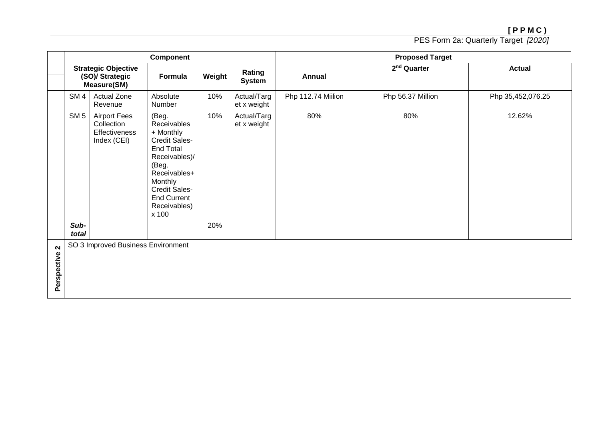|                                    |                                    |                                                                     | <b>Component</b>                                                                                                                                                                                          |        |                            |                    | <b>Proposed Target</b>  |                   |  |
|------------------------------------|------------------------------------|---------------------------------------------------------------------|-----------------------------------------------------------------------------------------------------------------------------------------------------------------------------------------------------------|--------|----------------------------|--------------------|-------------------------|-------------------|--|
|                                    |                                    | <b>Strategic Objective</b><br>(SO)/ Strategic<br><b>Measure(SM)</b> | Formula                                                                                                                                                                                                   | Weight | Rating<br><b>System</b>    | Annual             | 2 <sup>nd</sup> Quarter | <b>Actual</b>     |  |
|                                    | SM <sub>4</sub>                    | Actual Zone<br>Revenue                                              | Absolute<br>Number                                                                                                                                                                                        | 10%    | Actual/Targ<br>et x weight | Php 112.74 Miilion | Php 56.37 Million       | Php 35,452,076.25 |  |
|                                    | SM <sub>5</sub>                    | <b>Airport Fees</b><br>Collection<br>Effectiveness<br>Index (CEI)   | (Beg.<br>Receivables<br>+ Monthly<br><b>Credit Sales-</b><br><b>End Total</b><br>Receivables)/<br>(Beg.<br>Receivables+<br>Monthly<br><b>Credit Sales-</b><br><b>End Current</b><br>Receivables)<br>x 100 | 10%    | Actual/Targ<br>et x weight | 80%                | 80%                     | 12.62%            |  |
|                                    | Sub-<br>total                      |                                                                     |                                                                                                                                                                                                           | 20%    |                            |                    |                         |                   |  |
| $\boldsymbol{\sim}$<br>Perspective | SO 3 Improved Business Environment |                                                                     |                                                                                                                                                                                                           |        |                            |                    |                         |                   |  |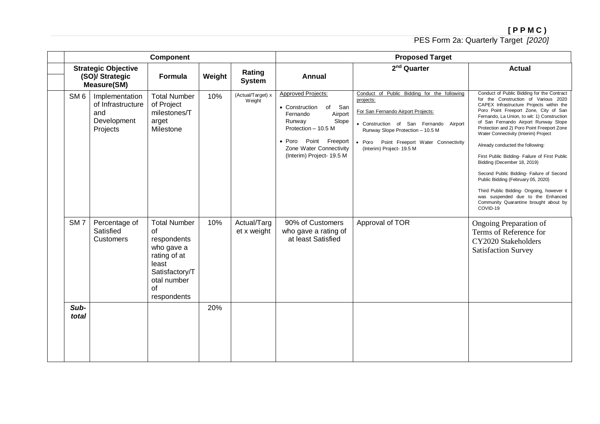|                 |                                                                       | <b>Component</b>                                                                                                                      |     |                             |                                                                                                                                                                                                                    | <b>Proposed Target</b>                                                                                                                                                                                                                                |                                                                                                                                                                                                                                                                                                                                                                                                                                                                                                                                                                                                                                                                                                   |
|-----------------|-----------------------------------------------------------------------|---------------------------------------------------------------------------------------------------------------------------------------|-----|-----------------------------|--------------------------------------------------------------------------------------------------------------------------------------------------------------------------------------------------------------------|-------------------------------------------------------------------------------------------------------------------------------------------------------------------------------------------------------------------------------------------------------|---------------------------------------------------------------------------------------------------------------------------------------------------------------------------------------------------------------------------------------------------------------------------------------------------------------------------------------------------------------------------------------------------------------------------------------------------------------------------------------------------------------------------------------------------------------------------------------------------------------------------------------------------------------------------------------------------|
|                 | <b>Strategic Objective</b><br>(SO)/ Strategic<br><b>Measure(SM)</b>   | Weight<br>Formula                                                                                                                     |     | Rating<br><b>System</b>     | <b>Annual</b>                                                                                                                                                                                                      | 2 <sup>nd</sup> Quarter                                                                                                                                                                                                                               | <b>Actual</b>                                                                                                                                                                                                                                                                                                                                                                                                                                                                                                                                                                                                                                                                                     |
| SM <sub>6</sub> | Implementation<br>of Infrastructure<br>and<br>Development<br>Projects | <b>Total Number</b><br>of Project<br>milestones/T<br>arget<br>Milestone                                                               | 10% | (Actual/Target) x<br>Weight | <b>Approved Projects:</b><br>• Construction<br>of San<br>Airport<br>Fernando<br>Slope<br>Runway<br>Protection - 10.5 M<br>Point Freeport<br>$\bullet$ Poro<br>Zone Water Connectivity<br>(Interim) Project- 19.5 M | Conduct of Public Bidding for the following<br>projects:<br>For San Fernando Airport Projects:<br>• Construction of San Fernando Airport<br>Runway Slope Protection - 10.5 M<br>• Poro Point Freeport Water Connectivity<br>(Interim) Project- 19.5 M | Conduct of Public Bidding for the Contract<br>for the Construction of Various 2020<br>CAPEX Infrastructure Projects within the<br>Poro Point Freeport Zone, City of San<br>Fernando, La Union, to wit: 1) Construction<br>of San Fernando Airport Runway Slope<br>Protection and 2) Poro Point Freeport Zone<br>Water Connectivity (Interim) Project<br>Already conducted the following:<br>First Public Bidding- Failure of First Public<br>Bidding (December 18, 2019)<br>Second Public Bidding- Failure of Second<br>Public Bidding (February 05, 2020)<br>Third Public Bidding- Ongoing, however it<br>was suspended due to the Enhanced<br>Community Quarantine brought about by<br>COVID-19 |
| SM <sub>7</sub> | Percentage of<br>Satisfied<br><b>Customers</b>                        | <b>Total Number</b><br>of<br>respondents<br>who gave a<br>rating of at<br>least<br>Satisfactory/T<br>otal number<br>of<br>respondents | 10% | Actual/Targ<br>et x weight  | 90% of Customers<br>who gave a rating of<br>at least Satisfied                                                                                                                                                     | Approval of TOR                                                                                                                                                                                                                                       | Ongoing Preparation of<br>Terms of Reference for<br>CY2020 Stakeholders<br><b>Satisfaction Survey</b>                                                                                                                                                                                                                                                                                                                                                                                                                                                                                                                                                                                             |
| Sub-<br>total   |                                                                       |                                                                                                                                       | 20% |                             |                                                                                                                                                                                                                    |                                                                                                                                                                                                                                                       |                                                                                                                                                                                                                                                                                                                                                                                                                                                                                                                                                                                                                                                                                                   |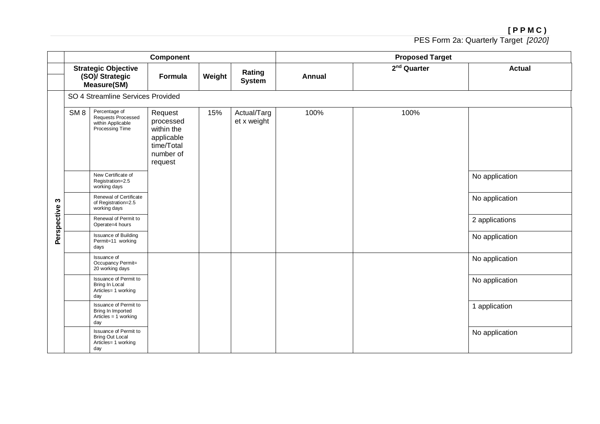|             |                 |                                                                               | Component                                                                              |        |                            | <b>Proposed Target</b> |                         |                |  |  |
|-------------|-----------------|-------------------------------------------------------------------------------|----------------------------------------------------------------------------------------|--------|----------------------------|------------------------|-------------------------|----------------|--|--|
|             |                 | <b>Strategic Objective</b><br>(SO)/ Strategic<br><b>Measure(SM)</b>           | Formula                                                                                | Weight | Rating<br><b>System</b>    | Annual                 | 2 <sup>nd</sup> Quarter | <b>Actual</b>  |  |  |
|             |                 | SO 4 Streamline Services Provided                                             |                                                                                        |        |                            |                        |                         |                |  |  |
|             | SM <sub>8</sub> | Percentage of<br>Requests Processed<br>within Applicable<br>Processing Time   | Request<br>processed<br>within the<br>applicable<br>time/Total<br>number of<br>request | 15%    | Actual/Targ<br>et x weight | 100%                   | 100%                    |                |  |  |
|             |                 | New Certificate of<br>Registration=2.5<br>working days                        |                                                                                        |        |                            |                        |                         | No application |  |  |
| S           |                 | Renewal of Certificate<br>of Registration=2.5<br>working days                 |                                                                                        |        |                            |                        |                         | No application |  |  |
| Perspective |                 | Renewal of Permit to<br>Operate=4 hours                                       |                                                                                        |        |                            |                        |                         | 2 applications |  |  |
|             |                 | <b>Issuance of Building</b><br>Permit=11 working<br>days                      |                                                                                        |        |                            |                        |                         | No application |  |  |
|             |                 | Issuance of<br>Occupancy Permit=<br>20 working days                           |                                                                                        |        |                            |                        |                         | No application |  |  |
|             |                 | Issuance of Permit to<br>Bring In Local<br>Articles= 1 working<br>day         |                                                                                        |        |                            |                        |                         | No application |  |  |
|             |                 | Issuance of Permit to<br>Bring In Imported<br>Articles = $1$ working<br>day   |                                                                                        |        |                            |                        |                         | 1 application  |  |  |
|             |                 | Issuance of Permit to<br><b>Bring Out Local</b><br>Articles= 1 working<br>day |                                                                                        |        |                            |                        |                         | No application |  |  |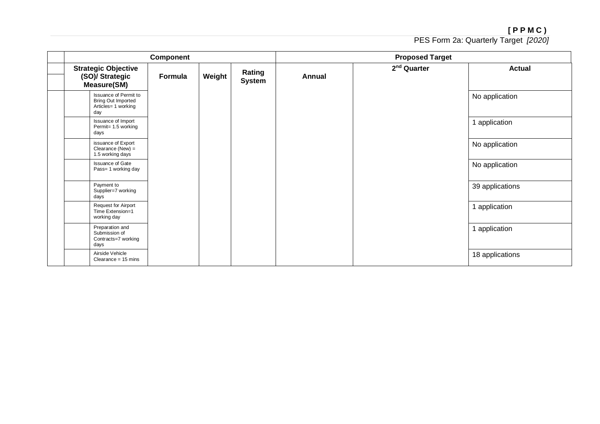|                                                                                  | Component |        |                         |               | <b>Proposed Target</b>  |                 |
|----------------------------------------------------------------------------------|-----------|--------|-------------------------|---------------|-------------------------|-----------------|
| <b>Strategic Objective</b><br>(SO)/ Strategic<br><b>Measure(SM)</b>              | Formula   | Weight | Rating<br><b>System</b> | <b>Annual</b> | 2 <sup>nd</sup> Quarter | <b>Actual</b>   |
| Issuance of Permit to<br><b>Bring Out Imported</b><br>Articles= 1 working<br>day |           |        |                         |               |                         | No application  |
| Issuance of Import<br>Permit= 1.5 working<br>days                                |           |        |                         |               |                         | 1 application   |
| issuance of Export<br>Clearance (New) $=$<br>1.5 working days                    |           |        |                         |               |                         | No application  |
| <b>Issuance of Gate</b><br>Pass= 1 working day                                   |           |        |                         |               |                         | No application  |
| Payment to<br>Supplier=7 working<br>days                                         |           |        |                         |               |                         | 39 applications |
| <b>Request for Airport</b><br>Time Extension=1<br>working day                    |           |        |                         |               |                         | 1 application   |
| Preparation and<br>Submission of<br>Contracts=7 working<br>days                  |           |        |                         |               |                         | 1 application   |
| Airside Vehicle<br>Clearance = $15 \text{ mins}$                                 |           |        |                         |               |                         | 18 applications |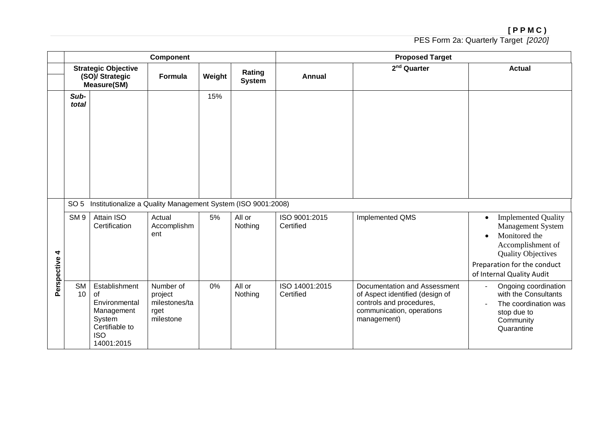|                  | Component                                                                       |                                                                                                            |                                                            |        |                         | <b>Proposed Target</b>      |                                                                                                                                         |                                                                                                                                                                                                                 |  |
|------------------|---------------------------------------------------------------------------------|------------------------------------------------------------------------------------------------------------|------------------------------------------------------------|--------|-------------------------|-----------------------------|-----------------------------------------------------------------------------------------------------------------------------------------|-----------------------------------------------------------------------------------------------------------------------------------------------------------------------------------------------------------------|--|
|                  | <b>Strategic Objective</b><br>(SO)/ Strategic<br><b>Measure(SM)</b>             |                                                                                                            | Formula                                                    | Weight | Rating<br><b>System</b> | <b>Annual</b>               | 2 <sup>nd</sup> Quarter                                                                                                                 | <b>Actual</b>                                                                                                                                                                                                   |  |
|                  | Sub-<br>total                                                                   |                                                                                                            |                                                            | 15%    |                         |                             |                                                                                                                                         |                                                                                                                                                                                                                 |  |
|                  | Institutionalize a Quality Management System (ISO 9001:2008)<br>SO <sub>5</sub> |                                                                                                            |                                                            |        |                         |                             |                                                                                                                                         |                                                                                                                                                                                                                 |  |
| 4<br>Perspective | SM <sub>9</sub>                                                                 | Attain ISO<br>Certification                                                                                | Actual<br>Accomplishm<br>ent                               | 5%     | All or<br>Nothing       | ISO 9001:2015<br>Certified  | Implemented QMS                                                                                                                         | <b>Implemented Quality</b><br>$\bullet$<br><b>Management System</b><br>Monitored the<br>$\bullet$<br>Accomplishment of<br><b>Quality Objectives</b><br>Preparation for the conduct<br>of Internal Quality Audit |  |
|                  | SM<br>10 <sup>°</sup>                                                           | Establishment<br>of<br>Environmental<br>Management<br>System<br>Certifiable to<br><b>ISO</b><br>14001:2015 | Number of<br>project<br>milestones/ta<br>rget<br>milestone | 0%     | All or<br>Nothing       | ISO 14001:2015<br>Certified | Documentation and Assessment<br>of Aspect identified (design of<br>controls and procedures,<br>communication, operations<br>management) | Ongoing coordination<br>$\blacksquare$<br>with the Consultants<br>The coordination was<br>$\blacksquare$<br>stop due to<br>Community<br>Quarantine                                                              |  |